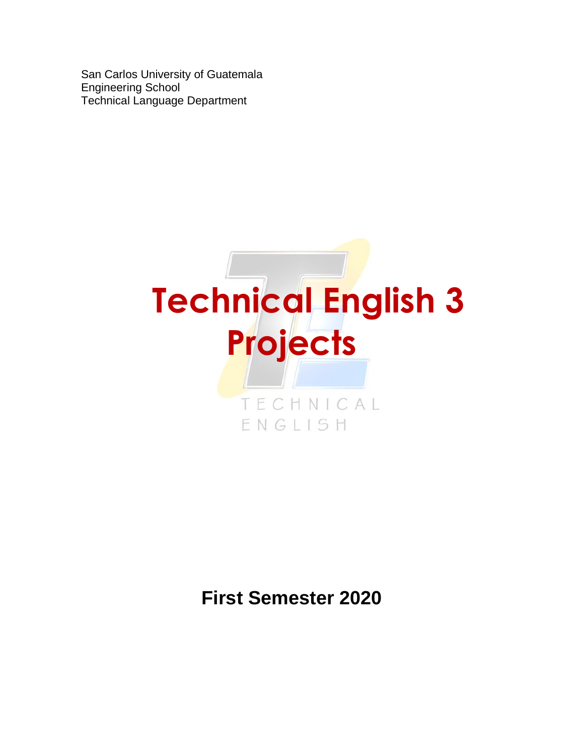San Carlos University of Guatemala Engineering School Technical Language Department



# **First Semester 2020**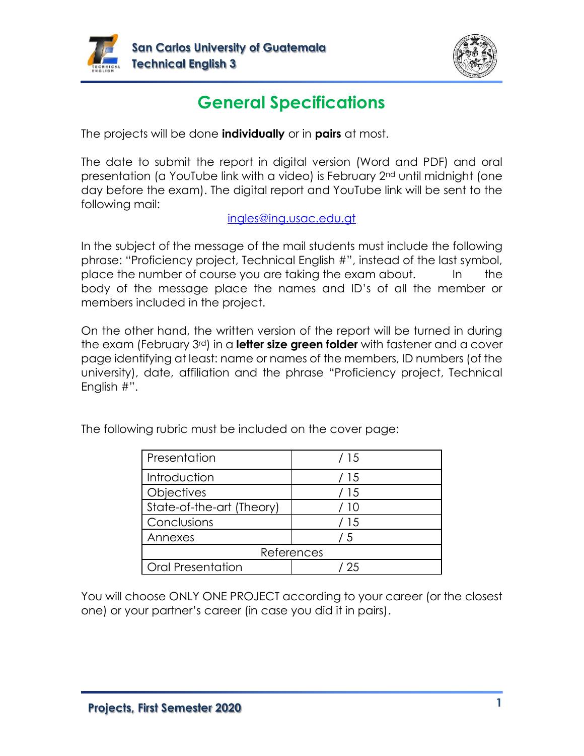



# **General Specifications**

The projects will be done **individually** or in **pairs** at most.

The date to submit the report in digital version (Word and PDF) and oral presentation (a YouTube link with a video) is February 2nd until midnight (one day before the exam). The digital report and YouTube link will be sent to the following mail:

#### [ingles@ing.usac.edu.gt](mailto:ingles@ing.usac.edu.gt)

In the subject of the message of the mail students must include the following phrase: "Proficiency project, Technical English #", instead of the last symbol, place the number of course you are taking the exam about. In the body of the message place the names and ID's of all the member or members included in the project.

On the other hand, the written version of the report will be turned in during the exam (February 3rd) in a **letter size green folder** with fastener and a cover page identifying at least: name or names of the members, ID numbers (of the university), date, affiliation and the phrase "Proficiency project, Technical English #".

| Presentation              | / 15       |
|---------------------------|------------|
| Introduction              | / 15       |
| Objectives                | / 15       |
| State-of-the-art (Theory) | 10         |
| Conclusions               | / 15       |
| Annexes                   | 15         |
|                           | References |
| <b>Oral Presentation</b>  | 25         |

The following rubric must be included on the cover page:

You will choose ONLY ONE PROJECT according to your career (or the closest one) or your partner's career (in case you did it in pairs).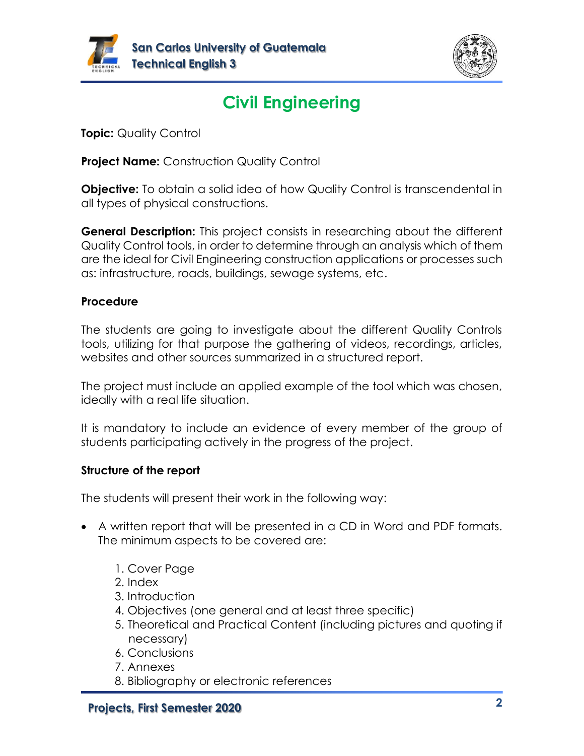



# **Civil Engineering**

**Topic:** Quality Control

**Project Name:** Construction Quality Control

**Objective:** To obtain a solid idea of how Quality Control is transcendental in all types of physical constructions.

**General Description:** This project consists in researching about the different Quality Control tools, in order to determine through an analysis which of them are the ideal for Civil Engineering construction applications or processes such as: infrastructure, roads, buildings, sewage systems, etc.

#### **Procedure**

The students are going to investigate about the different Quality Controls tools, utilizing for that purpose the gathering of videos, recordings, articles, websites and other sources summarized in a structured report.

The project must include an applied example of the tool which was chosen, ideally with a real life situation.

It is mandatory to include an evidence of every member of the group of students participating actively in the progress of the project.

#### **Structure of the report**

- A written report that will be presented in a CD in Word and PDF formats. The minimum aspects to be covered are:
	- 1. Cover Page
	- 2. Index
	- 3. Introduction
	- 4. Objectives (one general and at least three specific)
	- 5. Theoretical and Practical Content (including pictures and quoting if necessary)
	- 6. Conclusions
	- 7. Annexes
	- 8. Bibliography or electronic references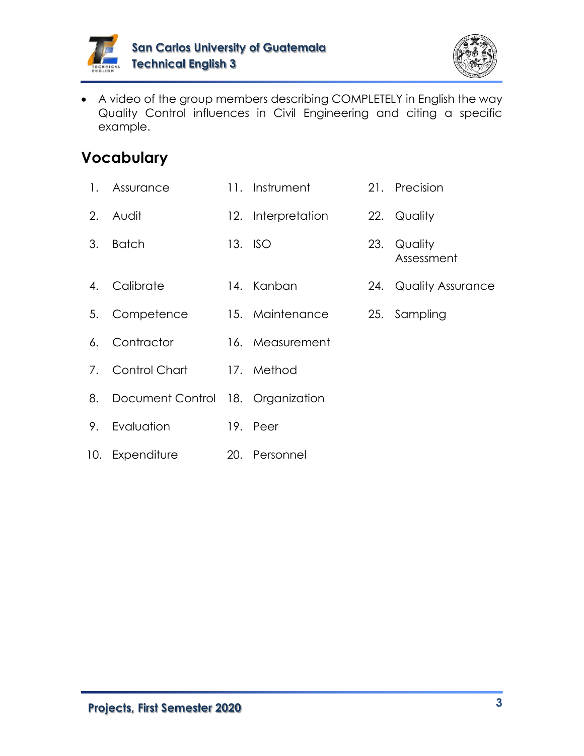



• A video of the group members describing COMPLETELY in English the way Quality Control influences in Civil Engineering and citing a specific example.

- 1. Assurance 11. Instrument 21. Precision
- 2. Audit 12. Interpretation 22. Quality
- 3. Batch 13. ISO 23. Quality
- 
- Assessment
- 4. Calibrate 14. Kanban 24. Quality Assurance
- 5. Competence 15. Maintenance 25. Sampling
- 6. Contractor 16. Measurement
- 7. Control Chart 17. Method
- 8. Document Control 18. Organization
- 9. Evaluation 19. Peer
- 10. Expenditure 20. Personnel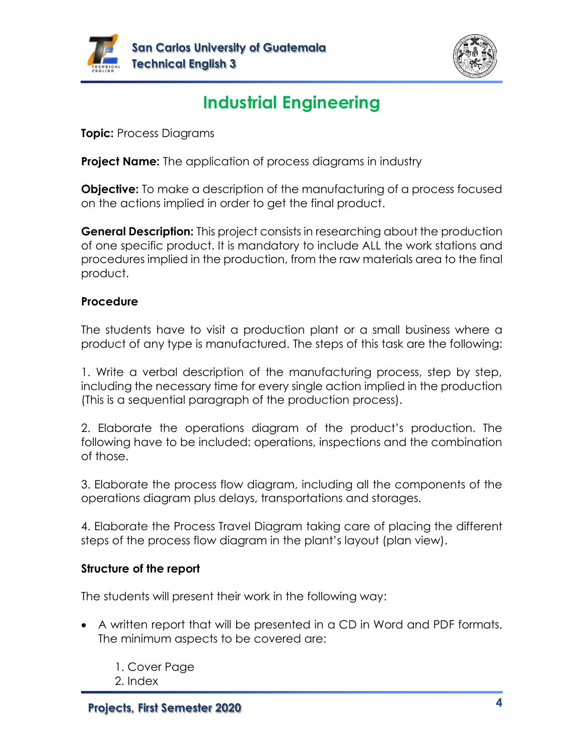



# **Industrial Engineering**

**Topic:** Process Diagrams

**Project Name:** The application of process diagrams in industry

**Objective:** To make a description of the manufacturing of a process focused on the actions implied in order to get the final product.

**General Description:** This project consists in researching about the production of one specific product. It is mandatory to include ALL the work stations and procedures implied in the production, from the raw materials area to the final product.

#### **Procedure**

The students have to visit a production plant or a small business where a product of any type is manufactured. The steps of this task are the following:

1. Write a verbal description of the manufacturing process, step by step, including the necessary time for every single action implied in the production (This is a sequential paragraph of the production process).

2. Elaborate the operations diagram of the product's production. The following have to be included: operations, inspections and the combination of those.

3. Elaborate the process flow diagram, including all the components of the operations diagram plus delays, transportations and storages.

4. Elaborate the Process Travel Diagram taking care of placing the different steps of the process flow diagram in the plant's layout (plan view).

#### **Structure of the report**

- A written report that will be presented in a CD in Word and PDF formats. The minimum aspects to be covered are:
	- 1. Cover Page
	- 2. Index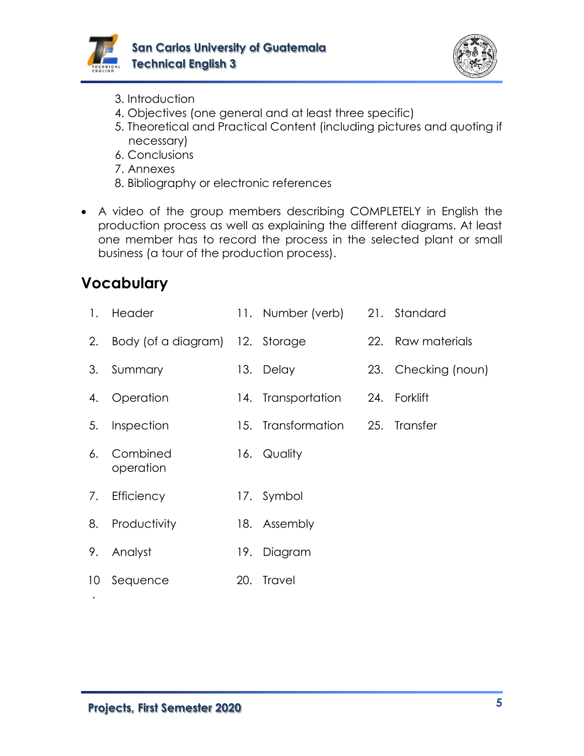



- 3. Introduction
- 4. Objectives (one general and at least three specific)
- 5. Theoretical and Practical Content (including pictures and quoting if necessary)
- 6. Conclusions
- 7. Annexes
- 8. Bibliography or electronic references
- A video of the group members describing COMPLETELY in English the production process as well as explaining the different diagrams. At least one member has to record the process in the selected plant or small business (a tour of the production process).

| $\mathbf{1}$ .  | Header                          |     | 11. Number (verb) 21. Standard |                     |
|-----------------|---------------------------------|-----|--------------------------------|---------------------|
| 2.              | Body (of a diagram) 12. Storage |     |                                | 22. Raw materials   |
| 3.              | Summary                         |     | 13. Delay                      | 23. Checking (noun) |
| 4.              | Operation                       |     | 14. Transportation             | 24. Forklift        |
| 5.              | Inspection                      |     | 15. Transformation             | 25. Transfer        |
| 6.              | Combined<br>operation           |     | 16. Quality                    |                     |
| 7.              | Efficiency                      |     | 17. Symbol                     |                     |
| 8.              | Productivity                    |     | 18. Assembly                   |                     |
| 9.              | Analyst                         | 19. | Diagram                        |                     |
| 10 <sup>°</sup> | Sequence                        |     | 20. Travel                     |                     |
|                 |                                 |     |                                |                     |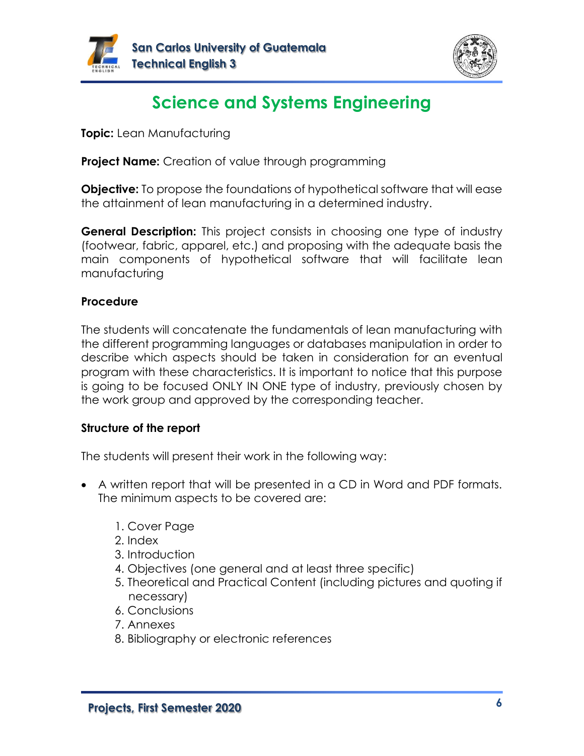



# **Science and Systems Engineering**

**Topic:** Lean Manufacturing

**Project Name:** Creation of value through programming

**Objective:** To propose the foundations of hypothetical software that will ease the attainment of lean manufacturing in a determined industry.

**General Description:** This project consists in choosing one type of industry (footwear, fabric, apparel, etc.) and proposing with the adequate basis the main components of hypothetical software that will facilitate lean manufacturing

#### **Procedure**

The students will concatenate the fundamentals of lean manufacturing with the different programming languages or databases manipulation in order to describe which aspects should be taken in consideration for an eventual program with these characteristics. It is important to notice that this purpose is going to be focused ONLY IN ONE type of industry, previously chosen by the work group and approved by the corresponding teacher.

#### **Structure of the report**

- A written report that will be presented in a CD in Word and PDF formats. The minimum aspects to be covered are:
	- 1. Cover Page
	- 2. Index
	- 3. Introduction
	- 4. Objectives (one general and at least three specific)
	- 5. Theoretical and Practical Content (including pictures and quoting if necessary)
	- 6. Conclusions
	- 7. Annexes
	- 8. Bibliography or electronic references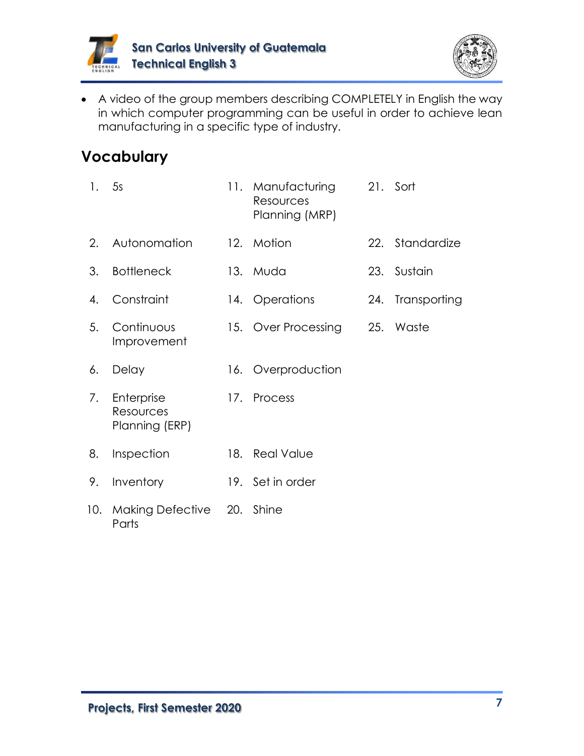



• A video of the group members describing COMPLETELY in English the way in which computer programming can be useful in order to achieve lean manufacturing in a specific type of industry.

| 1.  | 5s                                        |     | 11. Manufacturing<br>Resources<br>Planning (MRP) |     | 21. Sort         |
|-----|-------------------------------------------|-----|--------------------------------------------------|-----|------------------|
| 2.  | Autonomation                              |     | 12. Motion                                       | 22. | Standardize      |
| 3.  | <b>Bottleneck</b>                         |     | 13. Muda                                         |     | 23. Sustain      |
| 4.  | Constraint                                |     | 14. Operations                                   |     | 24. Transporting |
| 5.  | Continuous<br>Improvement                 |     | 15. Over Processing                              | 25. | Waste            |
| 6.  | Delay                                     |     | 16. Overproduction                               |     |                  |
| 7.  | Enterprise<br>Resources<br>Planning (ERP) |     | 17. Process                                      |     |                  |
| 8.  | Inspection                                | 18. | <b>Real Value</b>                                |     |                  |
| 9.  | Inventory                                 |     | 19. Set in order                                 |     |                  |
| 10. | Making Defective 20. Shine<br>Parts       |     |                                                  |     |                  |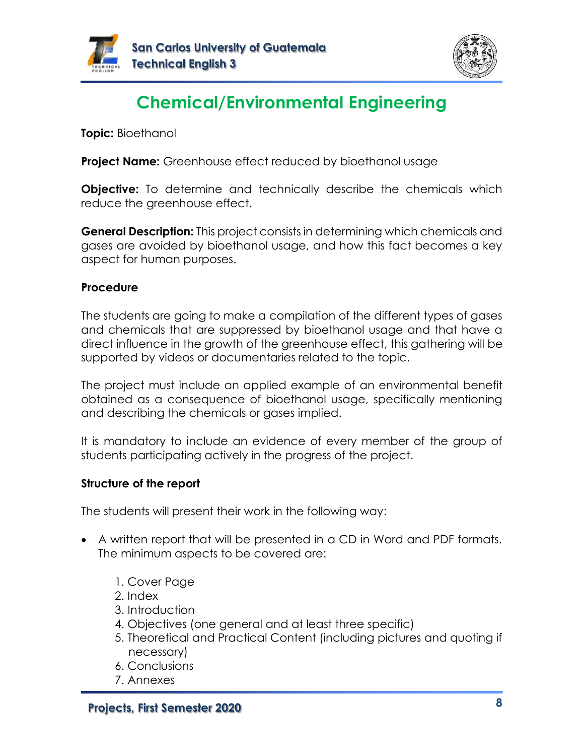



# **Chemical/Environmental Engineering**

**Topic:** Bioethanol

**Project Name:** Greenhouse effect reduced by bioethanol usage

**Objective:** To determine and technically describe the chemicals which reduce the greenhouse effect.

**General Description:** This project consists in determining which chemicals and gases are avoided by bioethanol usage, and how this fact becomes a key aspect for human purposes.

#### **Procedure**

The students are going to make a compilation of the different types of gases and chemicals that are suppressed by bioethanol usage and that have a direct influence in the growth of the greenhouse effect, this gathering will be supported by videos or documentaries related to the topic.

The project must include an applied example of an environmental benefit obtained as a consequence of bioethanol usage, specifically mentioning and describing the chemicals or gases implied.

It is mandatory to include an evidence of every member of the group of students participating actively in the progress of the project.

#### **Structure of the report**

- A written report that will be presented in a CD in Word and PDF formats. The minimum aspects to be covered are:
	- 1. Cover Page
	- 2. Index
	- 3. Introduction
	- 4. Objectives (one general and at least three specific)
	- 5. Theoretical and Practical Content (including pictures and quoting if necessary)
	- 6. Conclusions
	- 7. Annexes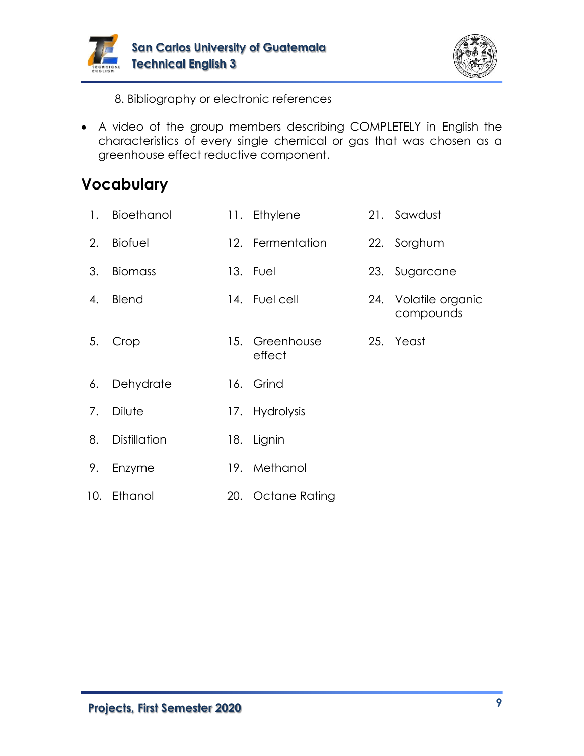



8. Bibliography or electronic references

• A video of the group members describing COMPLETELY in English the characteristics of every single chemical or gas that was chosen as a greenhouse effect reductive component.

| $\mathbf{1}$ . | Bioethanol          | 11. Ethylene             | 21. Sawdust                       |
|----------------|---------------------|--------------------------|-----------------------------------|
| 2.             | <b>Biofuel</b>      | 12. Fermentation         | 22. Sorghum                       |
| 3.             | <b>Biomass</b>      | 13. Fuel                 | 23. Sugarcane                     |
| 4.             | Blend               | 14. Fuel cell            | 24. Volatile organic<br>compounds |
| 5.             | Crop                | 15. Greenhouse<br>effect | 25. Yeast                         |
| 6.             | Dehydrate           | 16. Grind                |                                   |
| 7.             | Dilute              | 17. Hydrolysis           |                                   |
| 8.             | <b>Distillation</b> | 18. Lignin               |                                   |
| 9.             | Enzyme              | 19. Methanol             |                                   |
|                | 10. Ethanol         | 20. Octane Rating        |                                   |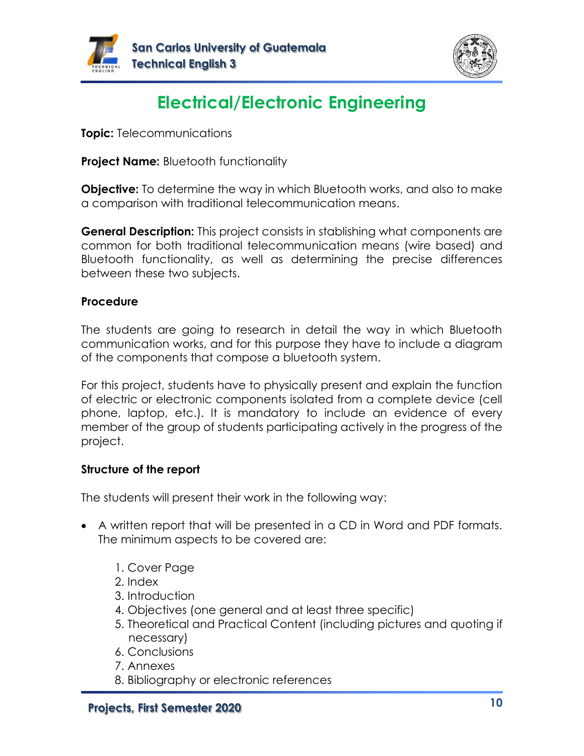



# **Electrical/Electronic Engineering**

**Topic:** Telecommunications

**Project Name:** Bluetooth functionality

**Objective:** To determine the way in which Bluetooth works, and also to make a comparison with traditional telecommunication means.

**General Description:** This project consists in stablishing what components are common for both traditional telecommunication means (wire based) and Bluetooth functionality, as well as determining the precise differences between these two subjects.

#### **Procedure**

The students are going to research in detail the way in which Bluetooth communication works, and for this purpose they have to include a diagram of the components that compose a bluetooth system.

For this project, students have to physically present and explain the function of electric or electronic components isolated from a complete device (cell phone, laptop, etc.). It is mandatory to include an evidence of every member of the group of students participating actively in the progress of the project.

#### **Structure of the report**

- A written report that will be presented in a CD in Word and PDF formats. The minimum aspects to be covered are:
	- 1. Cover Page
	- 2. Index
	- 3. Introduction
	- 4. Objectives (one general and at least three specific)
	- 5. Theoretical and Practical Content (including pictures and quoting if necessary)
	- 6. Conclusions
	- 7. Annexes
	- 8. Bibliography or electronic references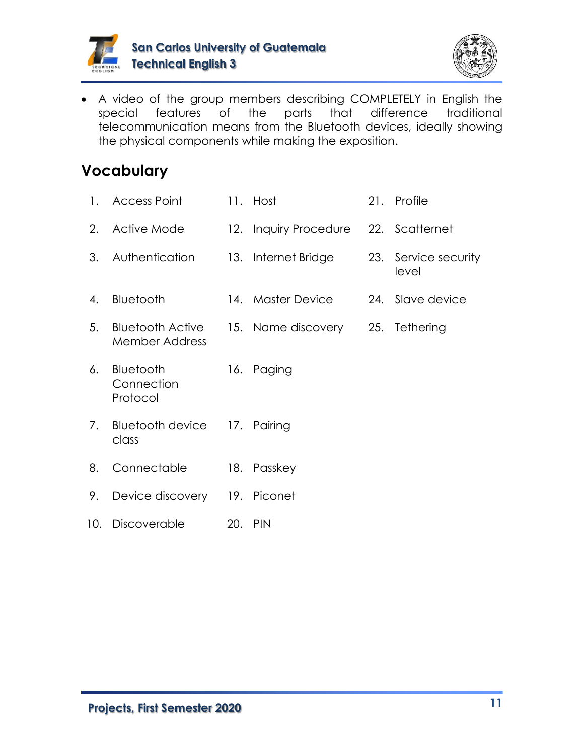



• A video of the group members describing COMPLETELY in English the special features of the parts that difference traditional telecommunication means from the Bluetooth devices, ideally showing the physical components while making the exposition.

| $1_{-}$ | <b>Access Point</b>                              |     | 11. Host                             | 21. Profile                   |
|---------|--------------------------------------------------|-----|--------------------------------------|-------------------------------|
| 2.      | Active Mode                                      |     | 12. Inquiry Procedure 22. Scatternet |                               |
| 3.      | Authentication                                   |     | 13. Internet Bridge                  | 23. Service security<br>level |
| 4.      | Bluetooth                                        |     | 14. Master Device                    | 24. Slave device              |
| 5.      | <b>Bluetooth Active</b><br><b>Member Address</b> |     | 15. Name discovery                   | 25. Tethering                 |
| 6.      | Bluetooth<br>Connection<br>Protocol              | 16. | Paging                               |                               |
| 7.      | <b>Bluetooth device</b><br>class                 |     | 17. Pairing                          |                               |
| 8.      | Connectable                                      |     | 18. Passkey                          |                               |
| 9.      | Device discovery 19. Piconet                     |     |                                      |                               |
| 10.     | Discoverable                                     |     | 20. PIN                              |                               |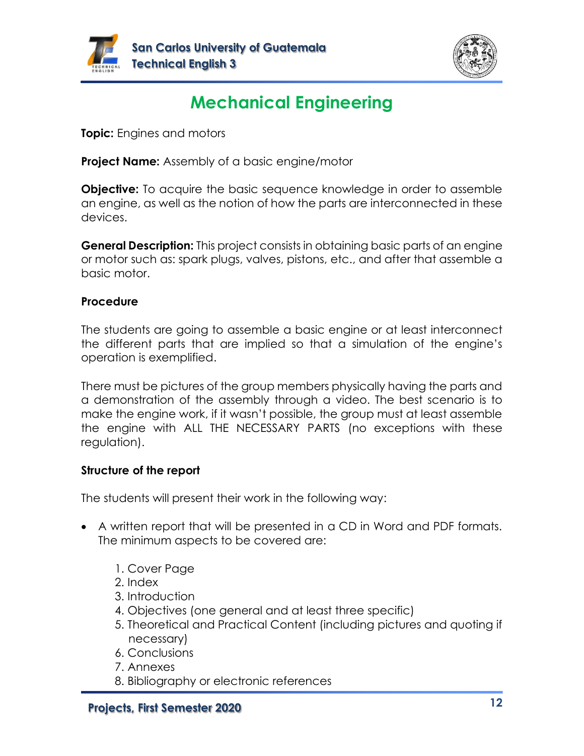



# **Mechanical Engineering**

**Topic:** Engines and motors

**Project Name:** Assembly of a basic engine/motor

**Objective:** To acquire the basic sequence knowledge in order to assemble an engine, as well as the notion of how the parts are interconnected in these devices.

**General Description:** This project consists in obtaining basic parts of an engine or motor such as: spark plugs, valves, pistons, etc., and after that assemble a basic motor.

#### **Procedure**

The students are going to assemble a basic engine or at least interconnect the different parts that are implied so that a simulation of the engine's operation is exemplified.

There must be pictures of the group members physically having the parts and a demonstration of the assembly through a video. The best scenario is to make the engine work, if it wasn't possible, the group must at least assemble the engine with ALL THE NECESSARY PARTS (no exceptions with these regulation).

#### **Structure of the report**

- A written report that will be presented in a CD in Word and PDF formats. The minimum aspects to be covered are:
	- 1. Cover Page
	- 2. Index
	- 3. Introduction
	- 4. Objectives (one general and at least three specific)
	- 5. Theoretical and Practical Content (including pictures and quoting if necessary)
	- 6. Conclusions
	- 7. Annexes
	- 8. Bibliography or electronic references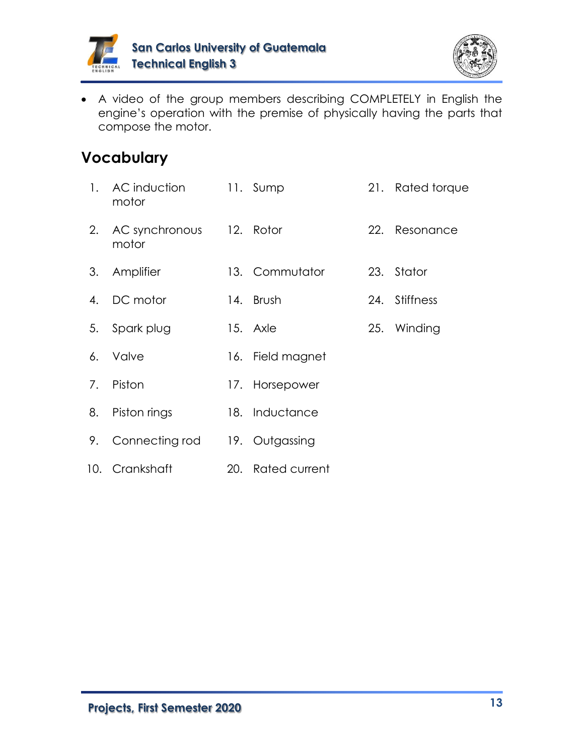



• A video of the group members describing COMPLETELY in English the engine's operation with the premise of physically having the parts that compose the motor.

| 1. | AC induction<br>motor             | 11. Sump          |     | 21. Rated torque |
|----|-----------------------------------|-------------------|-----|------------------|
| 2. | AC synchronous 12. Rotor<br>motor |                   | 22. | Resonance        |
| 3. | Amplifier                         | 13. Commutator    |     | 23. Stator       |
| 4. | DC motor                          | 14. Brush         |     | 24. Stiffness    |
| 5. | Spark plug                        | 15. Axle          |     | 25. Winding      |
| 6. | Valve                             | 16. Field magnet  |     |                  |
| 7. | Piston                            | 17. Horsepower    |     |                  |
| 8. | Piston rings                      | 18. Inductance    |     |                  |
| 9. | Connecting rod                    | 19. Outgassing    |     |                  |
|    | 10. Crankshaft                    | 20. Rated current |     |                  |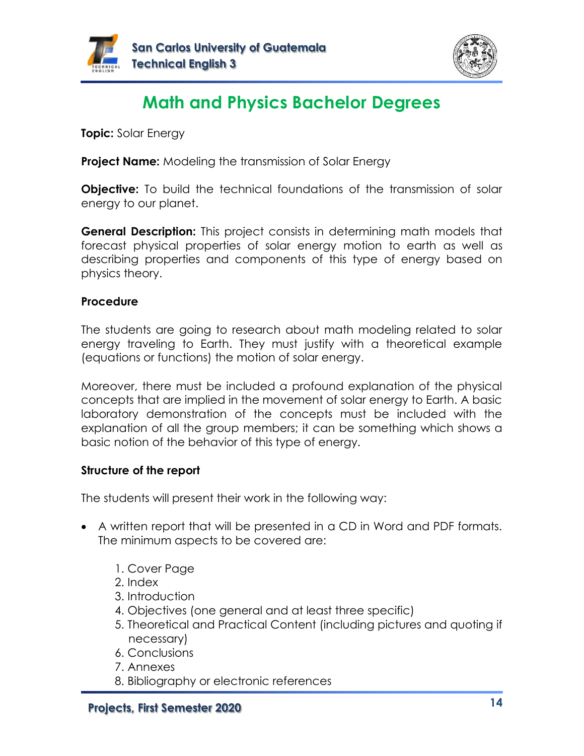



# **Math and Physics Bachelor Degrees**

**Topic:** Solar Energy

**Project Name:** Modeling the transmission of Solar Energy

**Objective:** To build the technical foundations of the transmission of solar energy to our planet.

**General Description:** This project consists in determining math models that forecast physical properties of solar energy motion to earth as well as describing properties and components of this type of energy based on physics theory.

#### **Procedure**

The students are going to research about math modeling related to solar energy traveling to Earth. They must justify with a theoretical example (equations or functions) the motion of solar energy.

Moreover, there must be included a profound explanation of the physical concepts that are implied in the movement of solar energy to Earth. A basic laboratory demonstration of the concepts must be included with the explanation of all the group members; it can be something which shows a basic notion of the behavior of this type of energy.

#### **Structure of the report**

- A written report that will be presented in a CD in Word and PDF formats. The minimum aspects to be covered are:
	- 1. Cover Page
	- 2. Index
	- 3. Introduction
	- 4. Objectives (one general and at least three specific)
	- 5. Theoretical and Practical Content (including pictures and quoting if necessary)
	- 6. Conclusions
	- 7. Annexes
	- 8. Bibliography or electronic references